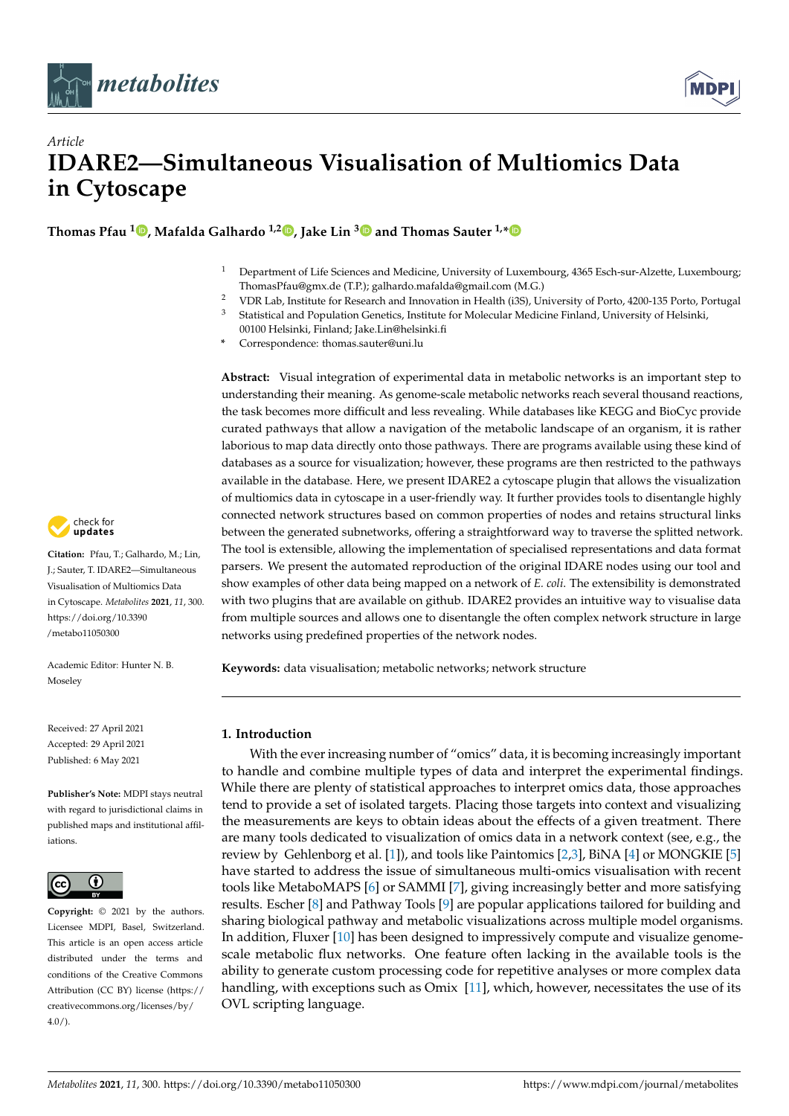



# *Article* **IDARE2—Simultaneous Visualisation of Multiomics Data in Cytoscape**

**Thomas Pfau <sup>1</sup> [,](https://orcid.org/0000-0001-5048-2923) Mafalda Galhardo 1,2 [,](https://orcid.org/0000-0001-8911-1660) Jake Lin [3](https://orcid.org/0000-0001-9928-1663) and Thomas Sauter 1,[\\*](https://orcid.org/0000-0001-8225-2954)**

- <sup>1</sup> Department of Life Sciences and Medicine, University of Luxembourg, 4365 Esch-sur-Alzette, Luxembourg; ThomasPfau@gmx.de (T.P.); galhardo.mafalda@gmail.com (M.G.)
- <sup>2</sup> VDR Lab, Institute for Research and Innovation in Health (i3S), University of Porto, 4200-135 Porto, Portugal
- <sup>3</sup> Statistical and Population Genetics, Institute for Molecular Medicine Finland, University of Helsinki,
	- 00100 Helsinki, Finland; Jake.Lin@helsinki.fi
- **\*** Correspondence: thomas.sauter@uni.lu

**Abstract:** Visual integration of experimental data in metabolic networks is an important step to understanding their meaning. As genome-scale metabolic networks reach several thousand reactions, the task becomes more difficult and less revealing. While databases like KEGG and BioCyc provide curated pathways that allow a navigation of the metabolic landscape of an organism, it is rather laborious to map data directly onto those pathways. There are programs available using these kind of databases as a source for visualization; however, these programs are then restricted to the pathways available in the database. Here, we present IDARE2 a cytoscape plugin that allows the visualization of multiomics data in cytoscape in a user-friendly way. It further provides tools to disentangle highly connected network structures based on common properties of nodes and retains structural links between the generated subnetworks, offering a straightforward way to traverse the splitted network. The tool is extensible, allowing the implementation of specialised representations and data format parsers. We present the automated reproduction of the original IDARE nodes using our tool and show examples of other data being mapped on a network of *E. coli*. The extensibility is demonstrated with two plugins that are available on github. IDARE2 provides an intuitive way to visualise data from multiple sources and allows one to disentangle the often complex network structure in large networks using predefined properties of the network nodes.

**Keywords:** data visualisation; metabolic networks; network structure

# **1. Introduction**

With the ever increasing number of "omics" data, it is becoming increasingly important to handle and combine multiple types of data and interpret the experimental findings. While there are plenty of statistical approaches to interpret omics data, those approaches tend to provide a set of isolated targets. Placing those targets into context and visualizing the measurements are keys to obtain ideas about the effects of a given treatment. There are many tools dedicated to visualization of omics data in a network context (see, e.g., the review by Gehlenborg et al. [\[1\]](#page-8-0)), and tools like Paintomics [\[2](#page-8-1)[,3\]](#page-8-2), BiNA [\[4\]](#page-8-3) or MONGKIE [\[5\]](#page-8-4) have started to address the issue of simultaneous multi-omics visualisation with recent tools like MetaboMAPS [\[6\]](#page-8-5) or SAMMI [\[7\]](#page-8-6), giving increasingly better and more satisfying results. Escher [\[8\]](#page-8-7) and Pathway Tools [\[9\]](#page-8-8) are popular applications tailored for building and sharing biological pathway and metabolic visualizations across multiple model organisms. In addition, Fluxer [\[10\]](#page-8-9) has been designed to impressively compute and visualize genomescale metabolic flux networks. One feature often lacking in the available tools is the ability to generate custom processing code for repetitive analyses or more complex data handling, with exceptions such as Omix [\[11\]](#page-8-10), which, however, necessitates the use of its OVL scripting language.



**Citation:** Pfau, T.; Galhardo, M.; Lin, J.; Sauter, T. IDARE2—Simultaneous Visualisation of Multiomics Data in Cytoscape. *Metabolites* **2021**, *11*, 300. [https://doi.org/10.3390](https://doi.org/10.3390/metabo11050300) [/metabo11050300](https://doi.org/10.3390/metabo11050300)

Academic Editor: Hunter N. B. Moseley

Received: 27 April 2021 Accepted: 29 April 2021 Published: 6 May 2021

**Publisher's Note:** MDPI stays neutral with regard to jurisdictional claims in published maps and institutional affiliations.



**Copyright:** © 2021 by the authors. Licensee MDPI, Basel, Switzerland. This article is an open access article distributed under the terms and conditions of the Creative Commons Attribution (CC BY) license (https:/[/](https://creativecommons.org/licenses/by/4.0/) [creativecommons.org/licenses/by/](https://creativecommons.org/licenses/by/4.0/)  $4.0/$ ).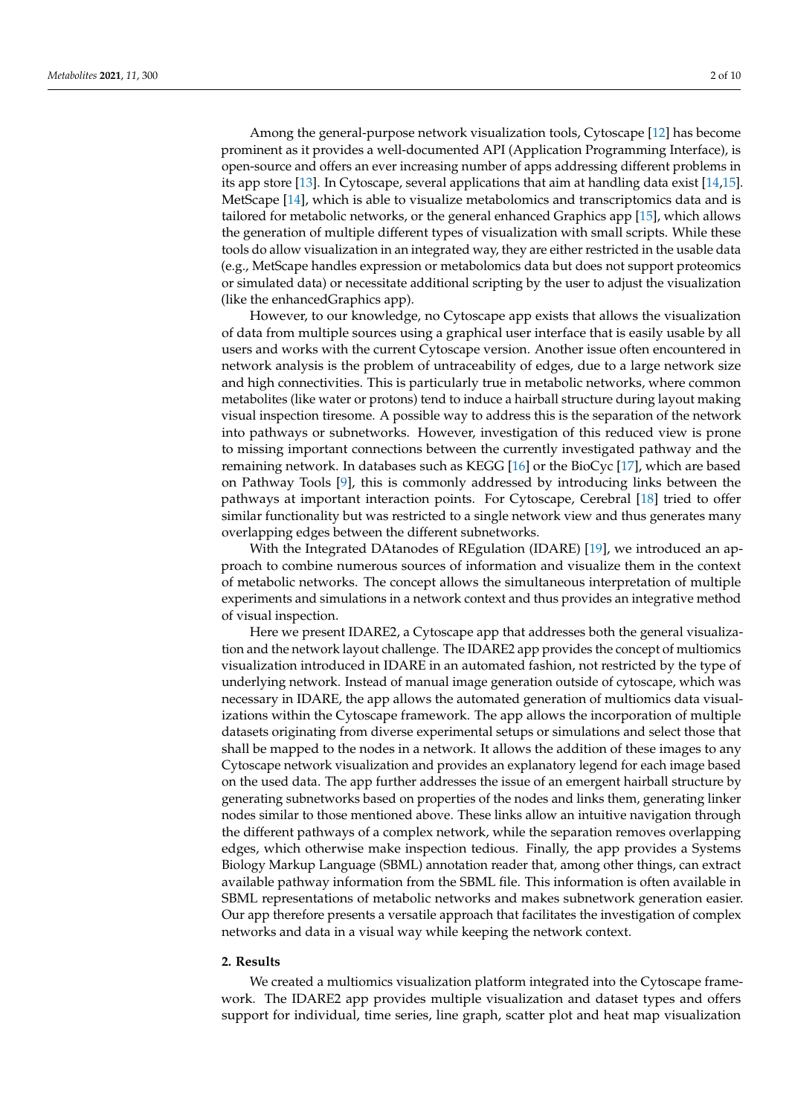Among the general-purpose network visualization tools, Cytoscape [\[12\]](#page-8-11) has become prominent as it provides a well-documented API (Application Programming Interface), is open-source and offers an ever increasing number of apps addressing different problems in its app store [\[13\]](#page-8-12). In Cytoscape, several applications that aim at handling data exist [\[14](#page-8-13)[,15\]](#page-8-14). MetScape [\[14\]](#page-8-13), which is able to visualize metabolomics and transcriptomics data and is tailored for metabolic networks, or the general enhanced Graphics app [\[15\]](#page-8-14), which allows the generation of multiple different types of visualization with small scripts. While these tools do allow visualization in an integrated way, they are either restricted in the usable data (e.g., MetScape handles expression or metabolomics data but does not support proteomics or simulated data) or necessitate additional scripting by the user to adjust the visualization (like the enhancedGraphics app).

However, to our knowledge, no Cytoscape app exists that allows the visualization of data from multiple sources using a graphical user interface that is easily usable by all users and works with the current Cytoscape version. Another issue often encountered in network analysis is the problem of untraceability of edges, due to a large network size and high connectivities. This is particularly true in metabolic networks, where common metabolites (like water or protons) tend to induce a hairball structure during layout making visual inspection tiresome. A possible way to address this is the separation of the network into pathways or subnetworks. However, investigation of this reduced view is prone to missing important connections between the currently investigated pathway and the remaining network. In databases such as KEGG [\[16\]](#page-8-15) or the BioCyc [\[17\]](#page-8-16), which are based on Pathway Tools [\[9\]](#page-8-8), this is commonly addressed by introducing links between the pathways at important interaction points. For Cytoscape, Cerebral [\[18\]](#page-8-17) tried to offer similar functionality but was restricted to a single network view and thus generates many overlapping edges between the different subnetworks.

With the Integrated DAtanodes of REgulation (IDARE) [\[19\]](#page-8-18), we introduced an approach to combine numerous sources of information and visualize them in the context of metabolic networks. The concept allows the simultaneous interpretation of multiple experiments and simulations in a network context and thus provides an integrative method of visual inspection.

Here we present IDARE2, a Cytoscape app that addresses both the general visualization and the network layout challenge. The IDARE2 app provides the concept of multiomics visualization introduced in IDARE in an automated fashion, not restricted by the type of underlying network. Instead of manual image generation outside of cytoscape, which was necessary in IDARE, the app allows the automated generation of multiomics data visualizations within the Cytoscape framework. The app allows the incorporation of multiple datasets originating from diverse experimental setups or simulations and select those that shall be mapped to the nodes in a network. It allows the addition of these images to any Cytoscape network visualization and provides an explanatory legend for each image based on the used data. The app further addresses the issue of an emergent hairball structure by generating subnetworks based on properties of the nodes and links them, generating linker nodes similar to those mentioned above. These links allow an intuitive navigation through the different pathways of a complex network, while the separation removes overlapping edges, which otherwise make inspection tedious. Finally, the app provides a Systems Biology Markup Language (SBML) annotation reader that, among other things, can extract available pathway information from the SBML file. This information is often available in SBML representations of metabolic networks and makes subnetwork generation easier. Our app therefore presents a versatile approach that facilitates the investigation of complex networks and data in a visual way while keeping the network context.

# **2. Results**

We created a multiomics visualization platform integrated into the Cytoscape framework. The IDARE2 app provides multiple visualization and dataset types and offers support for individual, time series, line graph, scatter plot and heat map visualization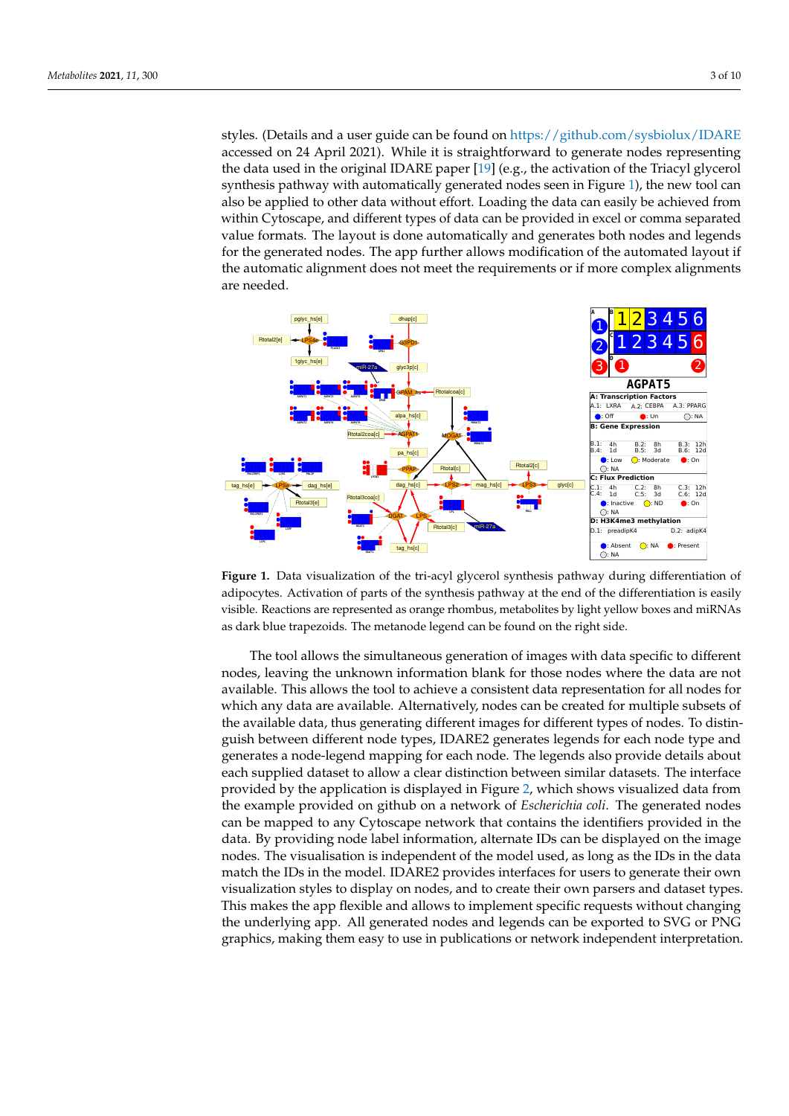styles. (Details and a user guide can be found on <https://github.com/sysbiolux/IDARE> accessed on 24 April 2021). While it is straightforward to generate nodes representing the data used in the original IDARE paper [\[19\]](#page-8-18) (e.g., the activation of the Triacyl glycerol synthesis pathway with automatically generated nodes seen in Figure [1\)](#page-2-0), the new tool can also be applied to other data without effort. Loading the data can easily be achieved from within Cytoscape, and different types of data can be provided in excel or comma separated value formats. The layout is done automatically and generates both nodes and legends for the generated nodes. The app further allows modification of the automated layout if the automatic alignment does not meet the requirements or if more complex alignments are needed.

<span id="page-2-0"></span>

**Figure 1.** Data visualization of the tri-acyl glycerol synthesis pathway during differentiation of adipocytes. Activation of parts of the synthesis pathway at the end of the differentiation is easily visible. Reactions are represented as orange rhombus, metabolites by light yellow boxes and miRNAs as dark blue trapezoids. The metanode legend can be found on the right side.

The tool allows the simultaneous generation of images with data specific to different nodes, leaving the unknown information blank for those nodes where the data are not available. This allows the tool to achieve a consistent data representation for all nodes for which any data are available. Alternatively, nodes can be created for multiple subsets of the available data, thus generating different images for different types of nodes. To distinguish between different node types, IDARE2 generates legends for each node type and generates a node-legend mapping for each node. The legends also provide details about each supplied dataset to allow a clear distinction between similar datasets. The interface provided by the application is displayed in Figure [2,](#page-3-0) which shows visualized data from the example provided on github on a network of *Escherichia coli*. The generated nodes can be mapped to any Cytoscape network that contains the identifiers provided in the data. By providing node label information, alternate IDs can be displayed on the image nodes. The visualisation is independent of the model used, as long as the IDs in the data match the IDs in the model. IDARE2 provides interfaces for users to generate their own visualization styles to display on nodes, and to create their own parsers and dataset types. This makes the app flexible and allows to implement specific requests without changing the underlying app. All generated nodes and legends can be exported to SVG or PNG graphics, making them easy to use in publications or network independent interpretation.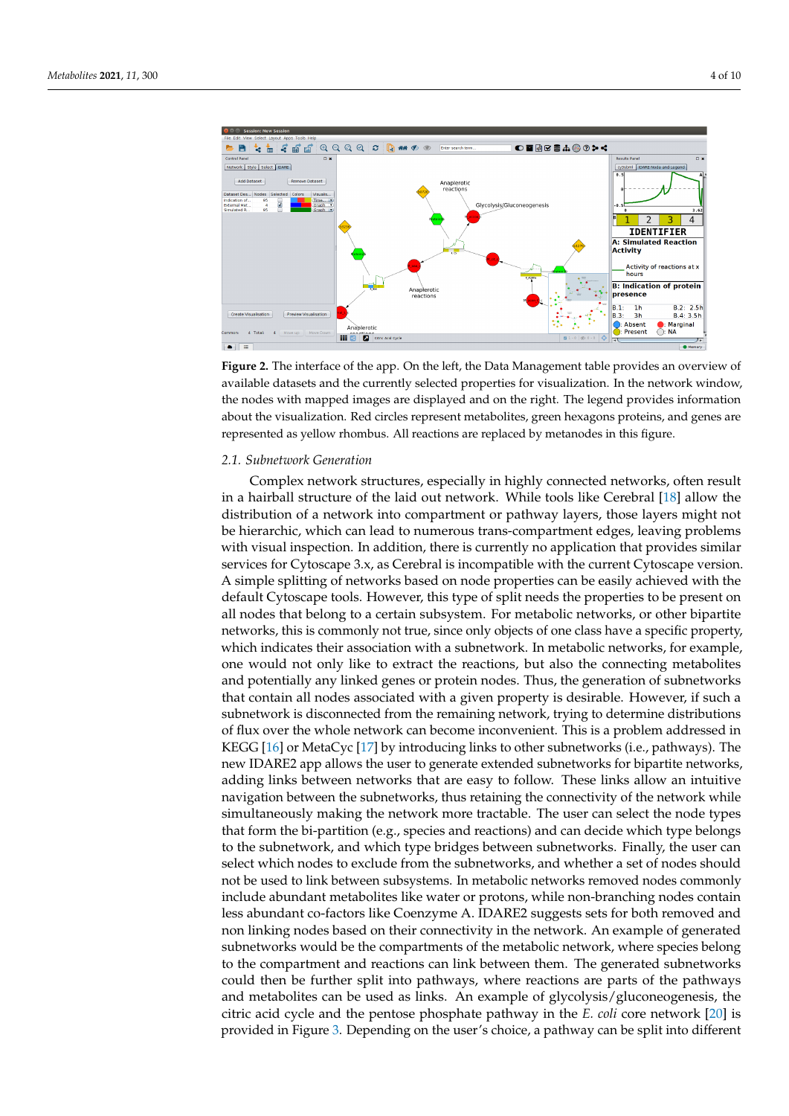<span id="page-3-0"></span>

**Figure 2.** The interface of the app. On the left, the Data Management table provides an overview of available datasets and the currently selected properties for visualization. In the network window, the nodes with mapped images are displayed and on the right. The legend provides information about the visualization. Red circles represent metabolites, green hexagons proteins, and genes are represented as yellow rhombus. All reactions are replaced by metanodes in this figure.

## *2.1. Subnetwork Generation*

Complex network structures, especially in highly connected networks, often result in a hairball structure of the laid out network. While tools like Cerebral [\[18\]](#page-8-17) allow the distribution of a network into compartment or pathway layers, those layers might not be hierarchic, which can lead to numerous trans-compartment edges, leaving problems with visual inspection. In addition, there is currently no application that provides similar services for Cytoscape 3.x, as Cerebral is incompatible with the current Cytoscape version. A simple splitting of networks based on node properties can be easily achieved with the default Cytoscape tools. However, this type of split needs the properties to be present on all nodes that belong to a certain subsystem. For metabolic networks, or other bipartite networks, this is commonly not true, since only objects of one class have a specific property, which indicates their association with a subnetwork. In metabolic networks, for example, one would not only like to extract the reactions, but also the connecting metabolites and potentially any linked genes or protein nodes. Thus, the generation of subnetworks that contain all nodes associated with a given property is desirable. However, if such a subnetwork is disconnected from the remaining network, trying to determine distributions of flux over the whole network can become inconvenient. This is a problem addressed in KEGG [\[16\]](#page-8-15) or MetaCyc [\[17\]](#page-8-16) by introducing links to other subnetworks (i.e., pathways). The new IDARE2 app allows the user to generate extended subnetworks for bipartite networks, adding links between networks that are easy to follow. These links allow an intuitive navigation between the subnetworks, thus retaining the connectivity of the network while simultaneously making the network more tractable. The user can select the node types that form the bi-partition (e.g., species and reactions) and can decide which type belongs to the subnetwork, and which type bridges between subnetworks. Finally, the user can select which nodes to exclude from the subnetworks, and whether a set of nodes should not be used to link between subsystems. In metabolic networks removed nodes commonly include abundant metabolites like water or protons, while non-branching nodes contain less abundant co-factors like Coenzyme A. IDARE2 suggests sets for both removed and non linking nodes based on their connectivity in the network. An example of generated subnetworks would be the compartments of the metabolic network, where species belong to the compartment and reactions can link between them. The generated subnetworks could then be further split into pathways, where reactions are parts of the pathways and metabolites can be used as links. An example of glycolysis/gluconeogenesis, the citric acid cycle and the pentose phosphate pathway in the *E. coli* core network [\[20\]](#page-8-19) is provided in Figure [3.](#page-4-0) Depending on the user's choice, a pathway can be split into different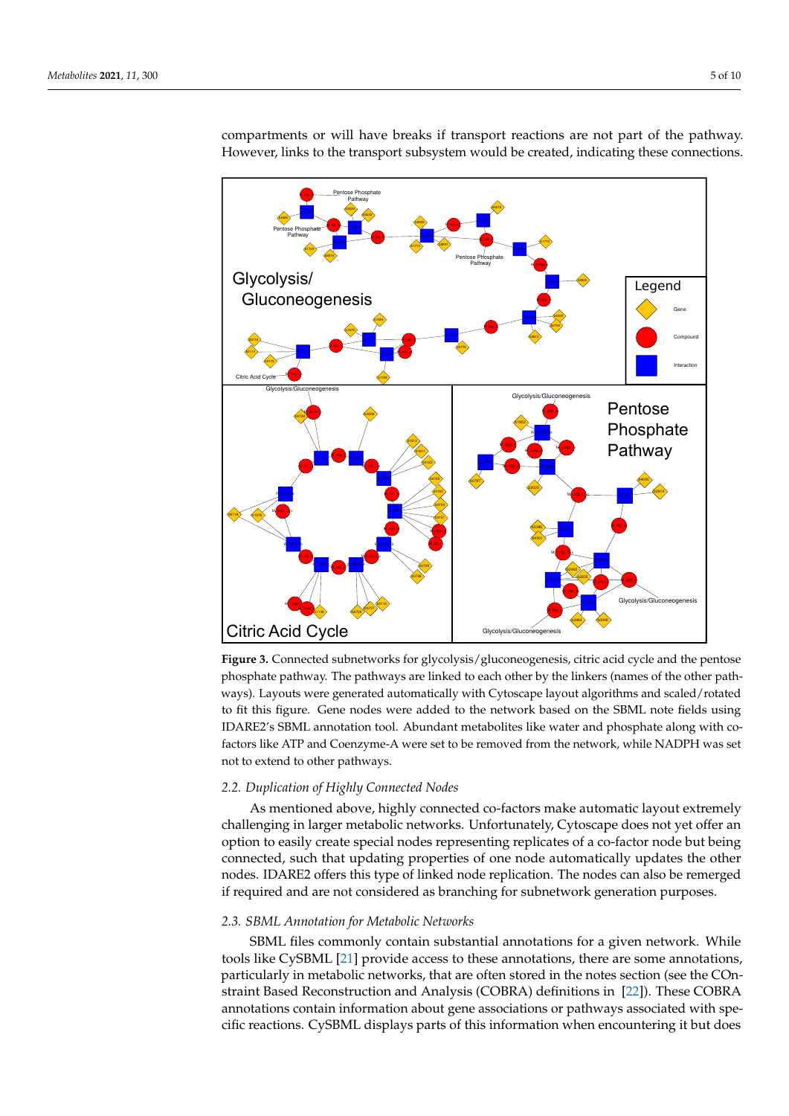<span id="page-4-0"></span>

compartments or will have breaks if transport reactions are not part of the pathway. However, links to the transport subsystem would be created, indicating these connections.

**Figure 3.** Connected subnetworks for glycolysis/gluconeogenesis, citric acid cycle and the pentose phosphate pathway. The pathways are linked to each other by the linkers (names of the other pathways). Layouts were generated automatically with Cytoscape layout algorithms and scaled/rotated to fit this figure. Gene nodes were added to the network based on the SBML note fields using IDARE2's SBML annotation tool. Abundant metabolites like water and phosphate along with cofactors like ATP and Coenzyme-A were set to be removed from the network, while NADPH was set not to extend to other pathways.

# *2.2. Duplication of Highly Connected Nodes*

As mentioned above, highly connected co-factors make automatic layout extremely challenging in larger metabolic networks. Unfortunately, Cytoscape does not yet offer an option to easily create special nodes representing replicates of a co-factor node but being connected, such that updating properties of one node automatically updates the other nodes. IDARE2 offers this type of linked node replication. The nodes can also be remerged if required and are not considered as branching for subnetwork generation purposes.

#### *2.3. SBML Annotation for Metabolic Networks*

SBML files commonly contain substantial annotations for a given network. While tools like CySBML [\[21\]](#page-8-20) provide access to these annotations, there are some annotations, particularly in metabolic networks, that are often stored in the notes section (see the COnstraint Based Reconstruction and Analysis (COBRA) definitions in [\[22\]](#page-8-21)). These COBRA annotations contain information about gene associations or pathways associated with specific reactions. CySBML displays parts of this information when encountering it but does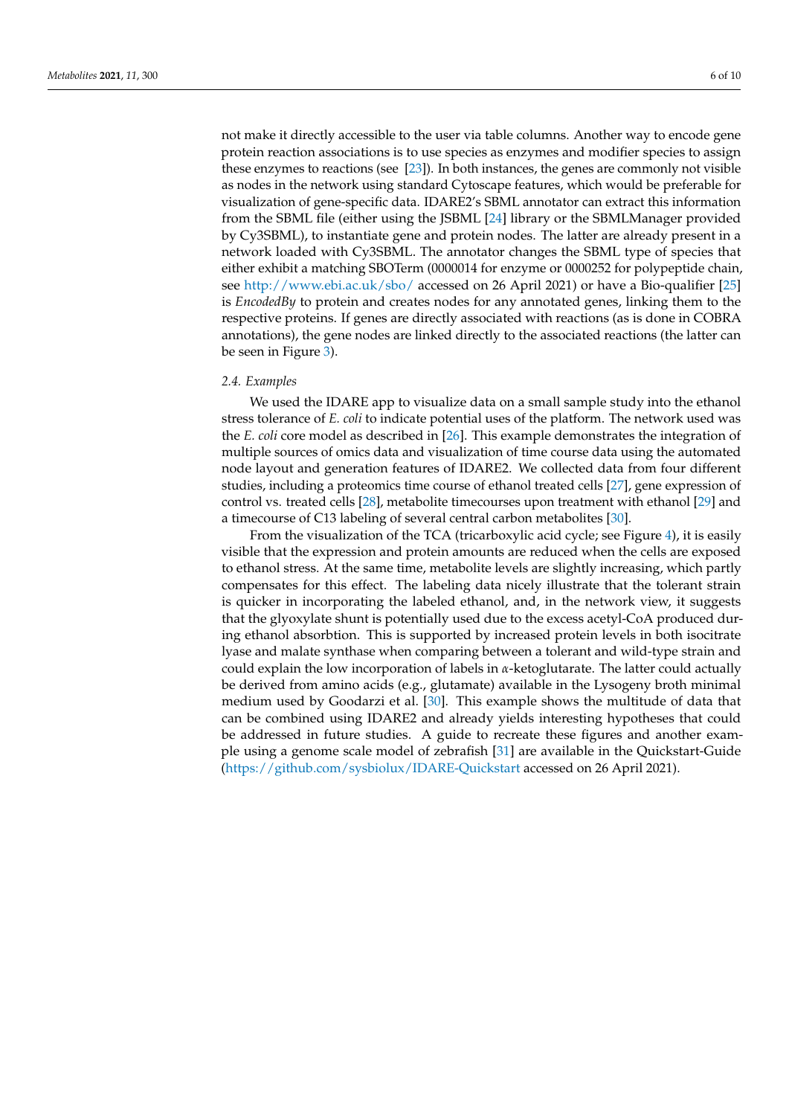not make it directly accessible to the user via table columns. Another way to encode gene protein reaction associations is to use species as enzymes and modifier species to assign these enzymes to reactions (see [\[23\]](#page-9-0)). In both instances, the genes are commonly not visible as nodes in the network using standard Cytoscape features, which would be preferable for visualization of gene-specific data. IDARE2's SBML annotator can extract this information from the SBML file (either using the JSBML [\[24\]](#page-9-1) library or the SBMLManager provided by Cy3SBML), to instantiate gene and protein nodes. The latter are already present in a network loaded with Cy3SBML. The annotator changes the SBML type of species that either exhibit a matching SBOTerm (0000014 for enzyme or 0000252 for polypeptide chain, see <http://www.ebi.ac.uk/sbo/> accessed on 26 April 2021) or have a Bio-qualifier [\[25\]](#page-9-2) is *EncodedBy* to protein and creates nodes for any annotated genes, linking them to the respective proteins. If genes are directly associated with reactions (as is done in COBRA annotations), the gene nodes are linked directly to the associated reactions (the latter can be seen in Figure [3\)](#page-4-0).

#### *2.4. Examples*

We used the IDARE app to visualize data on a small sample study into the ethanol stress tolerance of *E. coli* to indicate potential uses of the platform. The network used was the *E. coli* core model as described in [\[26\]](#page-9-3). This example demonstrates the integration of multiple sources of omics data and visualization of time course data using the automated node layout and generation features of IDARE2. We collected data from four different studies, including a proteomics time course of ethanol treated cells [\[27\]](#page-9-4), gene expression of control vs. treated cells [\[28\]](#page-9-5), metabolite timecourses upon treatment with ethanol [\[29\]](#page-9-6) and a timecourse of C13 labeling of several central carbon metabolites [\[30\]](#page-9-7).

From the visualization of the TCA (tricarboxylic acid cycle; see Figure [4\)](#page-6-0), it is easily visible that the expression and protein amounts are reduced when the cells are exposed to ethanol stress. At the same time, metabolite levels are slightly increasing, which partly compensates for this effect. The labeling data nicely illustrate that the tolerant strain is quicker in incorporating the labeled ethanol, and, in the network view, it suggests that the glyoxylate shunt is potentially used due to the excess acetyl-CoA produced during ethanol absorbtion. This is supported by increased protein levels in both isocitrate lyase and malate synthase when comparing between a tolerant and wild-type strain and could explain the low incorporation of labels in *α*-ketoglutarate. The latter could actually be derived from amino acids (e.g., glutamate) available in the Lysogeny broth minimal medium used by Goodarzi et al. [\[30\]](#page-9-7). This example shows the multitude of data that can be combined using IDARE2 and already yields interesting hypotheses that could be addressed in future studies. A guide to recreate these figures and another example using a genome scale model of zebrafish [\[31\]](#page-9-8) are available in the Quickstart-Guide [\(https://github.com/sysbiolux/IDARE-Quickstart](https://github.com/sysbiolux/IDARE-Quickstart) accessed on 26 April 2021).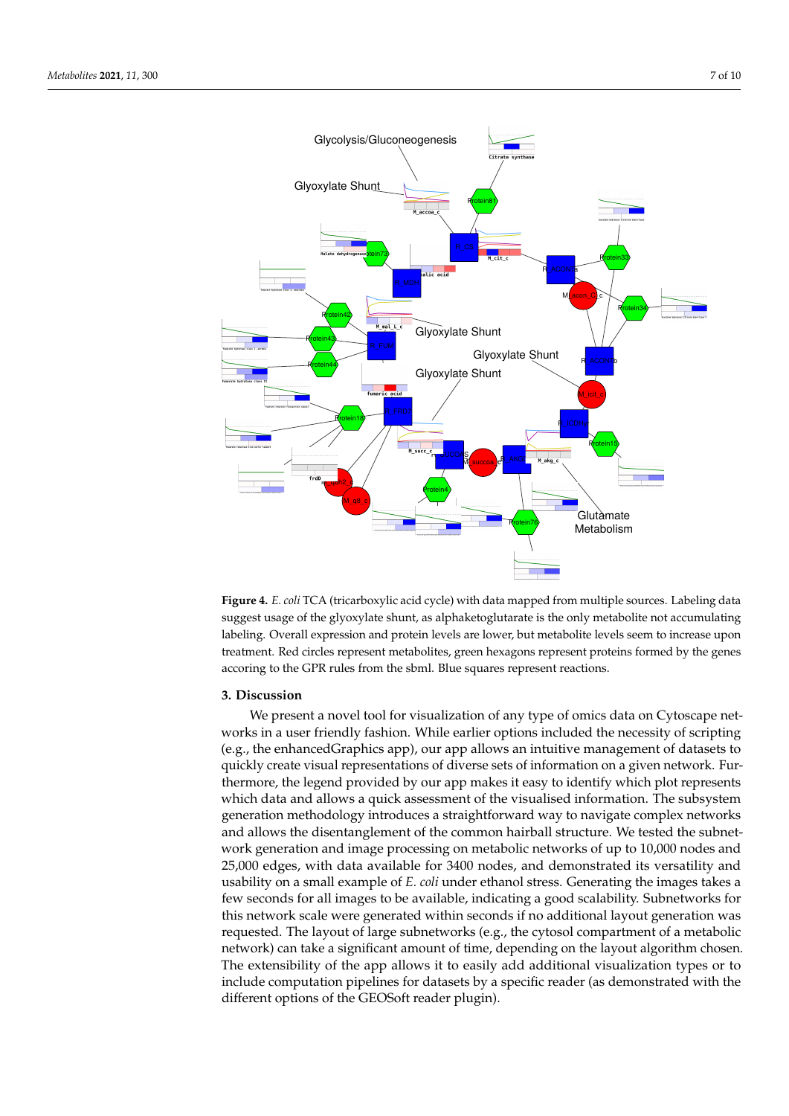<span id="page-6-0"></span>

**Figure 4.** *E. coli* TCA (tricarboxylic acid cycle) with data mapped from multiple sources. Labeling data suggest usage of the glyoxylate shunt, as alphaketoglutarate is the only metabolite not accumulating labeling. Overall expression and protein levels are lower, but metabolite levels seem to increase upon treatment. Red circles represent metabolites, green hexagons represent proteins formed by the genes accoring to the GPR rules from the sbml. Blue squares represent reactions.

# **3. Discussion**

We present a novel tool for visualization of any type of omics data on Cytoscape networks in a user friendly fashion. While earlier options included the necessity of scripting (e.g., the enhancedGraphics app), our app allows an intuitive management of datasets to quickly create visual representations of diverse sets of information on a given network. Furthermore, the legend provided by our app makes it easy to identify which plot represents which data and allows a quick assessment of the visualised information. The subsystem generation methodology introduces a straightforward way to navigate complex networks and allows the disentanglement of the common hairball structure. We tested the subnetwork generation and image processing on metabolic networks of up to 10,000 nodes and 25,000 edges, with data available for 3400 nodes, and demonstrated its versatility and usability on a small example of *E. coli* under ethanol stress. Generating the images takes a few seconds for all images to be available, indicating a good scalability. Subnetworks for this network scale were generated within seconds if no additional layout generation was requested. The layout of large subnetworks (e.g., the cytosol compartment of a metabolic network) can take a significant amount of time, depending on the layout algorithm chosen. The extensibility of the app allows it to easily add additional visualization types or to include computation pipelines for datasets by a specific reader (as demonstrated with the different options of the GEOSoft reader plugin).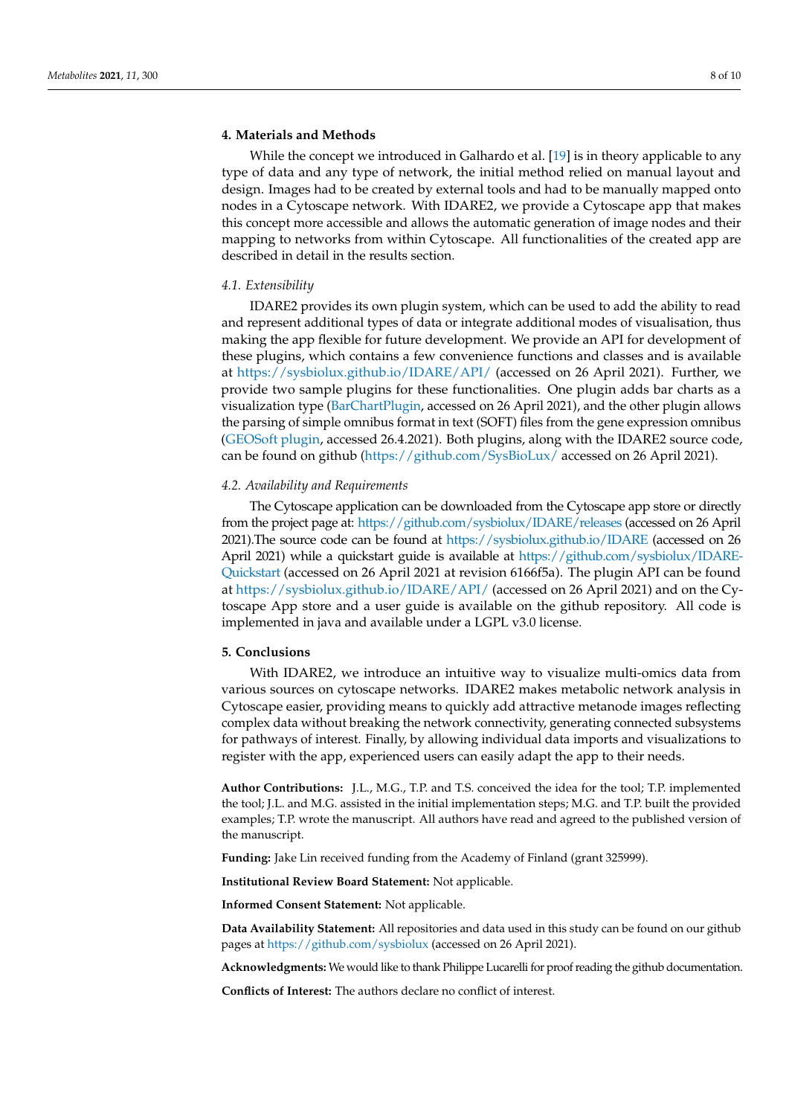# **4. Materials and Methods**

While the concept we introduced in Galhardo et al. [\[19\]](#page-8-18) is in theory applicable to any type of data and any type of network, the initial method relied on manual layout and design. Images had to be created by external tools and had to be manually mapped onto nodes in a Cytoscape network. With IDARE2, we provide a Cytoscape app that makes this concept more accessible and allows the automatic generation of image nodes and their mapping to networks from within Cytoscape. All functionalities of the created app are described in detail in the results section.

## *4.1. Extensibility*

IDARE2 provides its own plugin system, which can be used to add the ability to read and represent additional types of data or integrate additional modes of visualisation, thus making the app flexible for future development. We provide an API for development of these plugins, which contains a few convenience functions and classes and is available at [https://sysbiolux.github.io/IDARE/API/](https://sysbiolux.github.io/IDARE/API/index.html?overview-summary.html) (accessed on 26 April 2021). Further, we provide two sample plugins for these functionalities. One plugin adds bar charts as a visualization type [\(BarChartPlugin,](https://github.com/sysbiolux/IDAREBarChartsPlugin) accessed on 26 April 2021), and the other plugin allows the parsing of simple omnibus format in text (SOFT) files from the gene expression omnibus [\(GEOSoft plugin,](https://github.com/sysbiolux/IDAREGEOSoftReader) accessed 26.4.2021). Both plugins, along with the IDARE2 source code, can be found on github [\(https://github.com/SysBioLux/](https://github.com/SysBioLux/) accessed on 26 April 2021).

#### *4.2. Availability and Requirements*

The Cytoscape application can be downloaded from the Cytoscape app store or directly from the project page at: [https://github.com/sysbiolux/IDARE/releases](https://github.com/sysbiolux/IDARE/releases/download/2.0/IDARE-2.0.jar) (accessed on 26 April 2021).The source code can be found at [https://sysbiolux.github.io/IDARE](https://github.com/sysbiolux/IDARE) (accessed on 26 April 2021) while a quickstart guide is available at [https://github.com/sysbiolux/IDARE-](https://github.com/sysbiolux/IDARE-Quickstart)[Quickstart](https://github.com/sysbiolux/IDARE-Quickstart) (accessed on 26 April 2021 at revision 6166f5a). The plugin API can be found at <https://sysbiolux.github.io/IDARE/API/> (accessed on 26 April 2021) and on the Cytoscape App store and a user guide is available on the github repository. All code is implemented in java and available under a LGPL v3.0 license.

### **5. Conclusions**

With IDARE2, we introduce an intuitive way to visualize multi-omics data from various sources on cytoscape networks. IDARE2 makes metabolic network analysis in Cytoscape easier, providing means to quickly add attractive metanode images reflecting complex data without breaking the network connectivity, generating connected subsystems for pathways of interest. Finally, by allowing individual data imports and visualizations to register with the app, experienced users can easily adapt the app to their needs.

**Author Contributions:** J.L., M.G., T.P. and T.S. conceived the idea for the tool; T.P. implemented the tool; J.L. and M.G. assisted in the initial implementation steps; M.G. and T.P. built the provided examples; T.P. wrote the manuscript. All authors have read and agreed to the published version of the manuscript.

**Funding:** Jake Lin received funding from the Academy of Finland (grant 325999).

**Institutional Review Board Statement:** Not applicable.

**Informed Consent Statement:** Not applicable.

**Data Availability Statement:** All repositories and data used in this study can be found on our github pages at [https://github.com/sysbiolux](https://github.com/sysbiolux.) (accessed on 26 April 2021).

**Acknowledgments:** We would like to thank Philippe Lucarelli for proof reading the github documentation.

**Conflicts of Interest:** The authors declare no conflict of interest.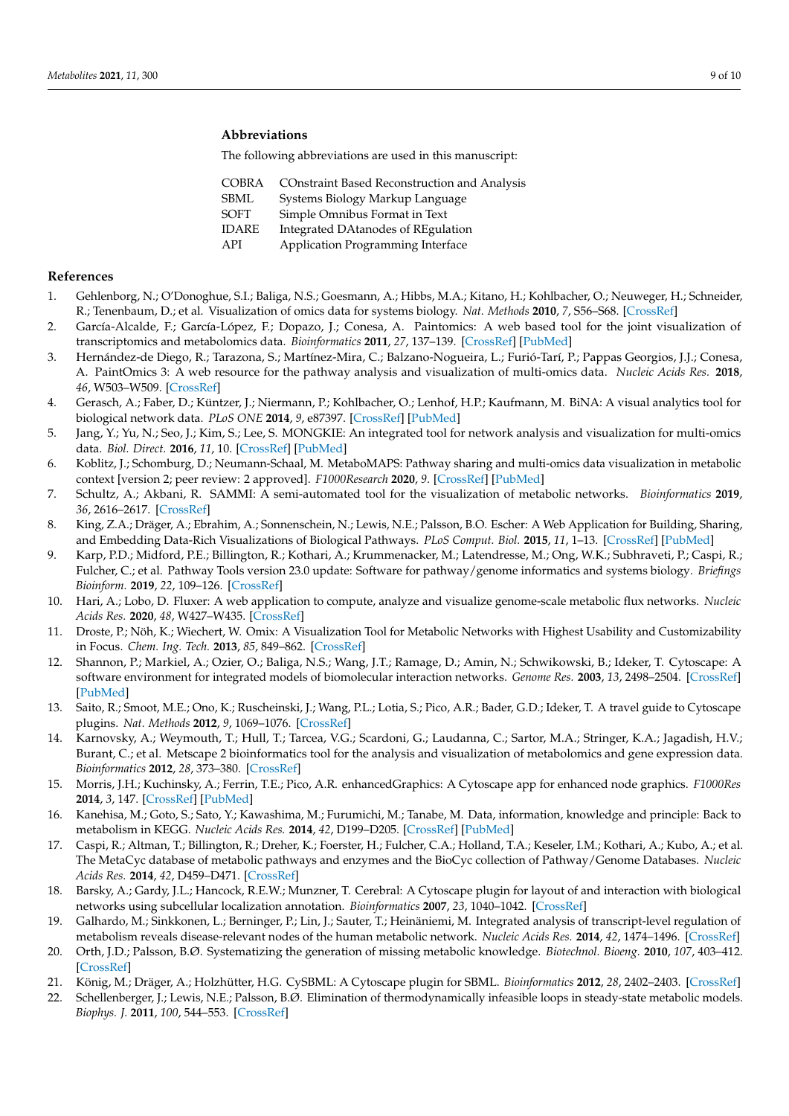# **Abbreviations**

The following abbreviations are used in this manuscript:

| <b>COBRA</b> | <b>COnstraint Based Reconstruction and Analysis</b> |
|--------------|-----------------------------------------------------|
| <b>SBML</b>  | Systems Biology Markup Language                     |
| <b>SOFT</b>  | Simple Omnibus Format in Text                       |
| <b>IDARE</b> | Integrated DAtanodes of REgulation                  |
| API          | Application Programming Interface                   |
|              |                                                     |

### **References**

- <span id="page-8-0"></span>1. Gehlenborg, N.; O'Donoghue, S.I.; Baliga, N.S.; Goesmann, A.; Hibbs, M.A.; Kitano, H.; Kohlbacher, O.; Neuweger, H.; Schneider, R.; Tenenbaum, D.; et al. Visualization of omics data for systems biology. *Nat. Methods* **2010**, *7*, S56–S68. [\[CrossRef\]](http://doi.org/10.1038/nmeth.1436)
- <span id="page-8-1"></span>2. García-Alcalde, F.; García-López, F.; Dopazo, J.; Conesa, A. Paintomics: A web based tool for the joint visualization of transcriptomics and metabolomics data. *Bioinformatics* **2011**, *27*, 137–139. [\[CrossRef\]](http://dx.doi.org/10.1093/bioinformatics/btq594) [\[PubMed\]](http://www.ncbi.nlm.nih.gov/pubmed/21098431)
- <span id="page-8-2"></span>3. Hernández-de Diego, R.; Tarazona, S.; Martínez-Mira, C.; Balzano-Nogueira, L.; Furió-Tarí, P.; Pappas Georgios, J.J.; Conesa, A. PaintOmics 3: A web resource for the pathway analysis and visualization of multi-omics data. *Nucleic Acids Res.* **2018**, *46*, W503–W509. [\[CrossRef\]](http://dx.doi.org/10.1093/nar/gky466)
- <span id="page-8-3"></span>4. Gerasch, A.; Faber, D.; Küntzer, J.; Niermann, P.; Kohlbacher, O.; Lenhof, H.P.; Kaufmann, M. BiNA: A visual analytics tool for biological network data. *PLoS ONE* **2014**, *9*, e87397. [\[CrossRef\]](http://dx.doi.org/10.1371/journal.pone.0087397) [\[PubMed\]](http://www.ncbi.nlm.nih.gov/pubmed/24551056)
- <span id="page-8-4"></span>5. Jang, Y.; Yu, N.; Seo, J.; Kim, S.; Lee, S. MONGKIE: An integrated tool for network analysis and visualization for multi-omics data. *Biol. Direct.* **2016**, *11*, 10. [\[CrossRef\]](http://dx.doi.org/10.1186/s13062-016-0112-y) [\[PubMed\]](http://www.ncbi.nlm.nih.gov/pubmed/26987515)
- <span id="page-8-5"></span>6. Koblitz, J.; Schomburg, D.; Neumann-Schaal, M. MetaboMAPS: Pathway sharing and multi-omics data visualization in metabolic context [version 2; peer review: 2 approved]. *F1000Research* **2020**, *9*. [\[CrossRef\]](http://dx.doi.org/10.12688/f1000research.23427.2) [\[PubMed\]](http://www.ncbi.nlm.nih.gov/pubmed/32765840)
- <span id="page-8-6"></span>7. Schultz, A.; Akbani, R. SAMMI: A semi-automated tool for the visualization of metabolic networks. *Bioinformatics* **2019**, *36*, 2616–2617. [\[CrossRef\]](http://dx.doi.org/10.1093/bioinformatics/btz927)
- <span id="page-8-7"></span>8. King, Z.A.; Dräger, A.; Ebrahim, A.; Sonnenschein, N.; Lewis, N.E.; Palsson, B.O. Escher: A Web Application for Building, Sharing, and Embedding Data-Rich Visualizations of Biological Pathways. *PLoS Comput. Biol.* **2015**, *11*, 1–13. [\[CrossRef\]](http://dx.doi.org/10.1371/journal.pcbi.1004321) [\[PubMed\]](http://www.ncbi.nlm.nih.gov/pubmed/26313928)
- <span id="page-8-8"></span>9. Karp, P.D.; Midford, P.E.; Billington, R.; Kothari, A.; Krummenacker, M.; Latendresse, M.; Ong, W.K.; Subhraveti, P.; Caspi, R.; Fulcher, C.; et al. Pathway Tools version 23.0 update: Software for pathway/genome informatics and systems biology. *Briefings Bioinform.* **2019**, *22*, 109–126. [\[CrossRef\]](http://dx.doi.org/10.1093/bib/bbz104)
- <span id="page-8-9"></span>10. Hari, A.; Lobo, D. Fluxer: A web application to compute, analyze and visualize genome-scale metabolic flux networks. *Nucleic Acids Res.* **2020**, *48*, W427–W435. [\[CrossRef\]](http://dx.doi.org/10.1093/nar/gkaa409)
- <span id="page-8-10"></span>11. Droste, P.; Nöh, K.; Wiechert, W. Omix: A Visualization Tool for Metabolic Networks with Highest Usability and Customizability in Focus. *Chem. Ing. Tech.* **2013**, *85*, 849–862. [\[CrossRef\]](http://dx.doi.org/10.1002/cite.201200234)
- <span id="page-8-11"></span>12. Shannon, P.; Markiel, A.; Ozier, O.; Baliga, N.S.; Wang, J.T.; Ramage, D.; Amin, N.; Schwikowski, B.; Ideker, T. Cytoscape: A software environment for integrated models of biomolecular interaction networks. *Genome Res.* **2003**, *13*, 2498–2504. [\[CrossRef\]](http://dx.doi.org/10.1101/gr.1239303) [\[PubMed\]](http://www.ncbi.nlm.nih.gov/pubmed/14597658)
- <span id="page-8-12"></span>13. Saito, R.; Smoot, M.E.; Ono, K.; Ruscheinski, J.; Wang, P.L.; Lotia, S.; Pico, A.R.; Bader, G.D.; Ideker, T. A travel guide to Cytoscape plugins. *Nat. Methods* **2012**, *9*, 1069–1076. [\[CrossRef\]](http://dx.doi.org/10.1038/nmeth.2212)
- <span id="page-8-13"></span>14. Karnovsky, A.; Weymouth, T.; Hull, T.; Tarcea, V.G.; Scardoni, G.; Laudanna, C.; Sartor, M.A.; Stringer, K.A.; Jagadish, H.V.; Burant, C.; et al. Metscape 2 bioinformatics tool for the analysis and visualization of metabolomics and gene expression data. *Bioinformatics* **2012**, *28*, 373–380. [\[CrossRef\]](http://dx.doi.org/10.1093/bioinformatics/btr661)
- <span id="page-8-14"></span>15. Morris, J.H.; Kuchinsky, A.; Ferrin, T.E.; Pico, A.R. enhancedGraphics: A Cytoscape app for enhanced node graphics. *F1000Res* **2014**, *3*, 147. [\[CrossRef\]](http://dx.doi.org/10.12688/f1000research.4460.1) [\[PubMed\]](http://www.ncbi.nlm.nih.gov/pubmed/25285206)
- <span id="page-8-15"></span>16. Kanehisa, M.; Goto, S.; Sato, Y.; Kawashima, M.; Furumichi, M.; Tanabe, M. Data, information, knowledge and principle: Back to metabolism in KEGG. *Nucleic Acids Res.* **2014**, *42*, D199–D205. [\[CrossRef\]](http://dx.doi.org/10.1093/nar/gkt1076) [\[PubMed\]](http://www.ncbi.nlm.nih.gov/pubmed/24214961)
- <span id="page-8-16"></span>17. Caspi, R.; Altman, T.; Billington, R.; Dreher, K.; Foerster, H.; Fulcher, C.A.; Holland, T.A.; Keseler, I.M.; Kothari, A.; Kubo, A.; et al. The MetaCyc database of metabolic pathways and enzymes and the BioCyc collection of Pathway/Genome Databases. *Nucleic Acids Res.* **2014**, *42*, D459–D471. [\[CrossRef\]](http://dx.doi.org/10.1093/nar/gkt1103)
- <span id="page-8-17"></span>18. Barsky, A.; Gardy, J.L.; Hancock, R.E.W.; Munzner, T. Cerebral: A Cytoscape plugin for layout of and interaction with biological networks using subcellular localization annotation. *Bioinformatics* **2007**, *23*, 1040–1042. [\[CrossRef\]](http://dx.doi.org/10.1093/bioinformatics/btm057)
- <span id="page-8-18"></span>19. Galhardo, M.; Sinkkonen, L.; Berninger, P.; Lin, J.; Sauter, T.; Heinäniemi, M. Integrated analysis of transcript-level regulation of metabolism reveals disease-relevant nodes of the human metabolic network. *Nucleic Acids Res.* **2014**, *42*, 1474–1496. [\[CrossRef\]](http://dx.doi.org/10.1093/nar/gkt989)
- <span id="page-8-19"></span>20. Orth, J.D.; Palsson, B.Ø. Systematizing the generation of missing metabolic knowledge. *Biotechnol. Bioeng.* **2010**, *107*, 403–412. [\[CrossRef\]](http://dx.doi.org/10.1002/bit.22844)
- <span id="page-8-20"></span>21. König, M.; Dräger, A.; Holzhütter, H.G. CySBML: A Cytoscape plugin for SBML. *Bioinformatics* **2012**, *28*, 2402–2403. [\[CrossRef\]](http://dx.doi.org/10.1093/bioinformatics/bts432)
- <span id="page-8-21"></span>22. Schellenberger, J.; Lewis, N.E.; Palsson, B.Ø. Elimination of thermodynamically infeasible loops in steady-state metabolic models. *Biophys. J.* **2011**, *100*, 544–553. [\[CrossRef\]](http://dx.doi.org/10.1016/j.bpj.2010.12.3707)